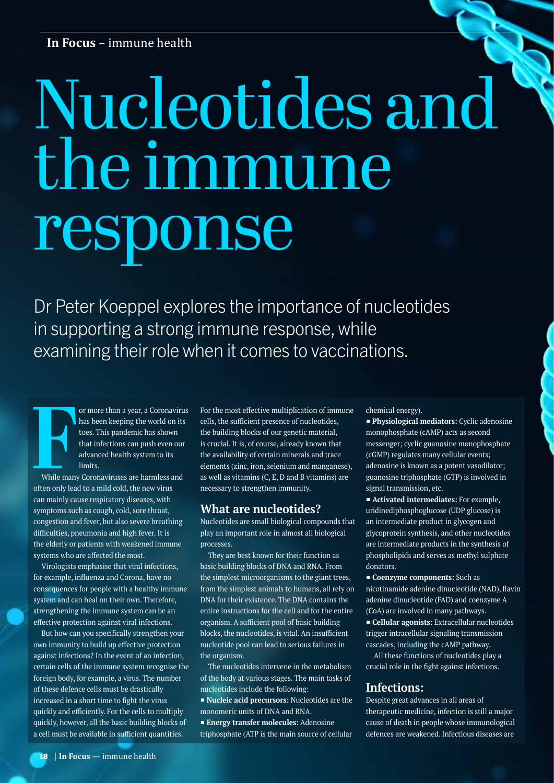# Nucleotides and the immune response

Dr Peter Koeppel explores the importance of nucleotides in supporting a strong immune response, while examining their role when it comes to vaccinations.

**F**<br>While many<br>often only lead or more than a year, a Coronavirus has been keeping the world on its toes. This pandemic has shown that infections can push even our advanced health system to its limits.

While many Coronaviruses are harmless and often only lead to a mild cold, the new virus can mainly cause respiratory diseases, with symptoms such as cough, cold, sore throat, congestion and fever, but also severe breathing difficulties, pneumonia and high fever. It is the elderly or patients with weakened immune systems who are affected the most.

Virologists emphasise that viral infections, for example, influenza and Corona, have no consequences for people with a healthy immune system and can heal on their own. Therefore, strengthening the immune system can be an effective protection against viral infections.

But how can you specifically strengthen your own immunity to build up effective protection against infections? In the event of an infection, certain cells of the immune system recognise the foreign body, for example, a virus. The number of these defence cells must be drastically increased in a short time to fight the virus quickly and efficiently. For the cells to multiply quickly, however, all the basic building blocks of a cell must be available in sufficient quantities.

For the most effective multiplication of immune cells, the sufficient presence of nucleotides, the building blocks of our genetic material, is crucial. It is, of course, already known that the availability of certain minerals and trace elements (zinc, iron, selenium and manganese), as well as vitamins (C, E, D and B vitamins) are necessary to strengthen immunity.

### **What are nucleotides?**

Nucleotides are small biological compounds that play an important role in almost all biological processes.

They are best known for their function as basic building blocks of DNA and RNA. From the simplest microorganisms to the giant trees, from the simplest animals to humans, all rely on DNA for their existence. The DNA contains the entire instructions for the cell and for the entire organism. A sufficient pool of basic building blocks, the nucleotides, is vital. An insufficient nucleotide pool can lead to serious failures in the organism.

The nucleotides intervene in the metabolism of the body at various stages. The main tasks of nucleotides include the following:

■ **Nucleic acid precursors:** Nucleotides are the monomeric units of DNA and RNA.

■ **Energy transfer molecules:** Adenosine

triphosphate (ATP is the main source of cellular

chemical energy).

■ **Physiological mediators:** Cyclic adenosine monophosphate (cAMP) acts as second messenger; cyclic guanosine monophosphate (cGMP) regulates many cellular events; adenosine is known as a potent vasodilator; guanosine triphosphate (GTP) is involved in signal transmission, etc.

■ **Activated intermediates:** For example, uridinediphosphoglucose (UDP glucose) is an intermediate product in glycogen and glycoprotein synthesis, and other nucleotides are intermediate products in the synthesis of phospholipids and serves as methyl sulphate donators.

■ **Coenzyme components:** Such as nicotinamide adenine dinucleotide (NAD), flavin adenine dinucleotide (FAD) and coenzyme A (CoA) are involved in many pathways. ■ **Cellular agonists:** Extracellular nucleotides trigger intracellular signaling transmission cascades, including the cAMP pathway.

All these functions of nucleotides play a crucial role in the fight against infections.

### **Infections:**

Despite great advances in all areas of therapeutic medicine, infection is still a major cause of death in people whose immunological defences are weakened. Infectious diseases are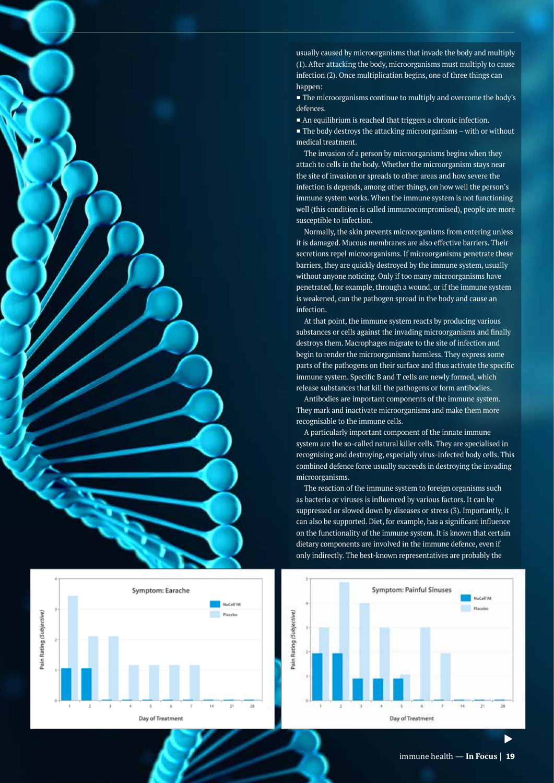



usually caused by microorganisms that invade the body and multiply (1). After attacking the body, microorganisms must multiply to cause infection (2). Once multiplication begins, one of three things can happen:

■ The microorganisms continue to multiply and overcome the body's defences.

■ An equilibrium is reached that triggers a chronic infection.  $\blacksquare$  The body destroys the attacking microorganisms – with or without medical treatment.

The invasion of a person by microorganisms begins when they attach to cells in the body. Whether the microorganism stays near the site of invasion or spreads to other areas and how severe the infection is depends, among other things, on how well the person's immune system works. When the immune system is not functioning well (this condition is called immunocompromised), people are more susceptible to infection.

Normally, the skin prevents microorganisms from entering unless it is damaged. Mucous membranes are also effective barriers. Their secretions repel microorganisms. If microorganisms penetrate these barriers, they are quickly destroyed by the immune system, usually without anyone noticing. Only if too many microorganisms have penetrated, for example, through a wound, or if the immune system is weakened, can the pathogen spread in the body and cause an infection.

At that point, the immune system reacts by producing various substances or cells against the invading microorganisms and finally destroys them. Macrophages migrate to the site of infection and begin to render the microorganisms harmless. They express some parts of the pathogens on their surface and thus activate the specific immune system. Specific B and T cells are newly formed, which release substances that kill the pathogens or form antibodies.

Antibodies are important components of the immune system. They mark and inactivate microorganisms and make them more recognisable to the immune cells.

A particularly important component of the innate immune system are the so-called natural killer cells. They are specialised in recognising and destroying, especially virus-infected body cells. This combined defence force usually succeeds in destroying the invading microorganisms.

The reaction of the immune system to foreign organisms such as bacteria or viruses is influenced by various factors. It can be suppressed or slowed down by diseases or stress (3). Importantly, it can also be supported. Diet, for example, has a significant influence on the functionality of the immune system. It is known that certain dietary components are involved in the immune defence, even if only indirectly. The best-known representatives are probably the



immune health - **In Focus** | 19 immune health — <sup>t</sup>